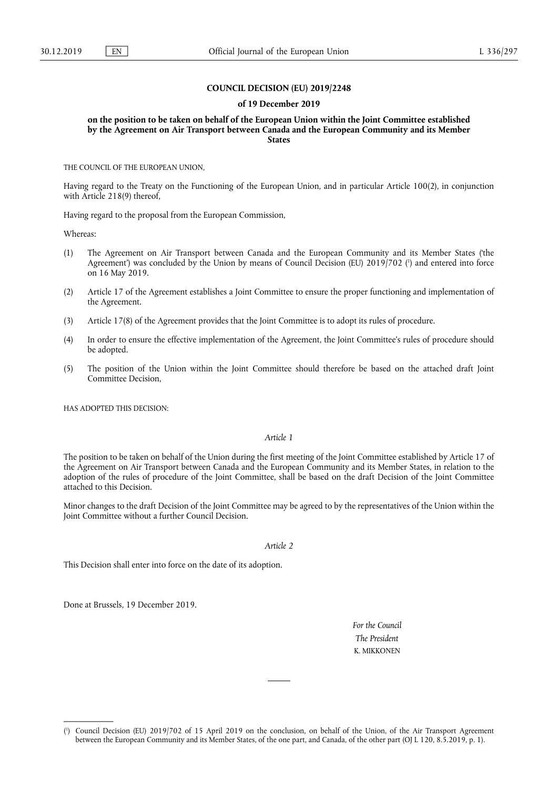## **COUNCIL DECISION (EU) 2019/2248**

#### **of 19 December 2019**

**on the position to be taken on behalf of the European Union within the Joint Committee established by the Agreement on Air Transport between Canada and the European Community and its Member States** 

THE COUNCIL OF THE EUROPEAN UNION,

Having regard to the Treaty on the Functioning of the European Union, and in particular Article 100(2), in conjunction with Article 218(9) thereof,

Having regard to the proposal from the European Commission,

Whereas:

- (1) The Agreement on Air Transport between Canada and the European Community and its Member States ('the Agreement') was concluded by the Union by means of Council Decision (EU) 2019/702 ( 1 ) and entered into force on 16 May 2019.
- (2) Article 17 of the Agreement establishes a Joint Committee to ensure the proper functioning and implementation of the Agreement.
- (3) Article 17(8) of the Agreement provides that the Joint Committee is to adopt its rules of procedure.
- (4) In order to ensure the effective implementation of the Agreement, the Joint Committee's rules of procedure should be adopted.
- (5) The position of the Union within the Joint Committee should therefore be based on the attached draft Joint Committee Decision,

HAS ADOPTED THIS DECISION:

# *Article 1*

The position to be taken on behalf of the Union during the first meeting of the Joint Committee established by Article 17 of the Agreement on Air Transport between Canada and the European Community and its Member States, in relation to the adoption of the rules of procedure of the Joint Committee, shall be based on the draft Decision of the Joint Committee attached to this Decision.

Minor changes to the draft Decision of the Joint Committee may be agreed to by the representatives of the Union within the Joint Committee without a further Council Decision.

#### *Article 2*

This Decision shall enter into force on the date of its adoption.

Done at Brussels, 19 December 2019.

*For the Council The President*  K. MIKKONEN

<sup>(</sup> 1 ) Council Decision (EU) 2019/702 of 15 April 2019 on the conclusion, on behalf of the Union, of the Air Transport Agreement between the European Community and its Member States, of the one part, and Canada, of the other part (OJ L 120, 8.5.2019, p. 1).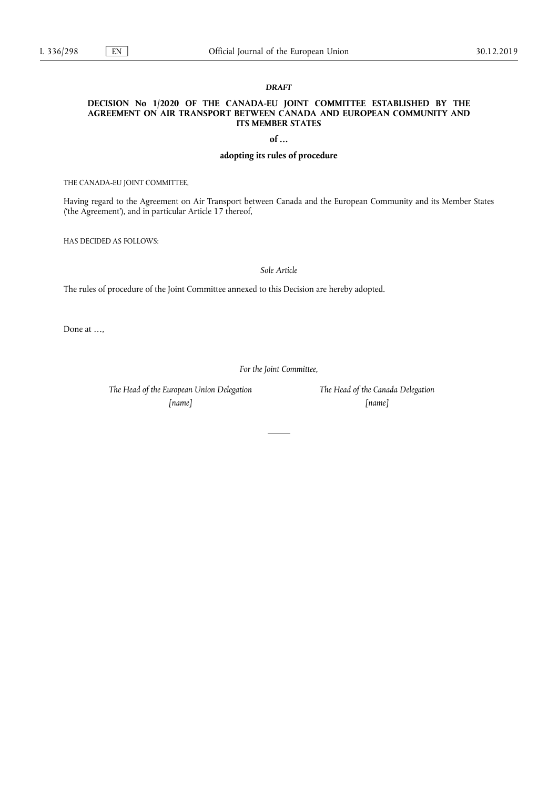## *DRAFT*

# **DECISION No 1/2020 OF THE CANADA-EU JOINT COMMITTEE ESTABLISHED BY THE AGREEMENT ON AIR TRANSPORT BETWEEN CANADA AND EUROPEAN COMMUNITY AND ITS MEMBER STATES**

**of …** 

# **adopting its rules of procedure**

THE CANADA-EU JOINT COMMITTEE,

Having regard to the Agreement on Air Transport between Canada and the European Community and its Member States ('the Agreement'), and in particular Article 17 thereof,

HAS DECIDED AS FOLLOWS:

*Sole Article* 

The rules of procedure of the Joint Committee annexed to this Decision are hereby adopted.

Done at …,

*For the Joint Committee,* 

*The Head of the European Union Delegation* 

*[name]* 

*The Head of the Canada Delegation [name]*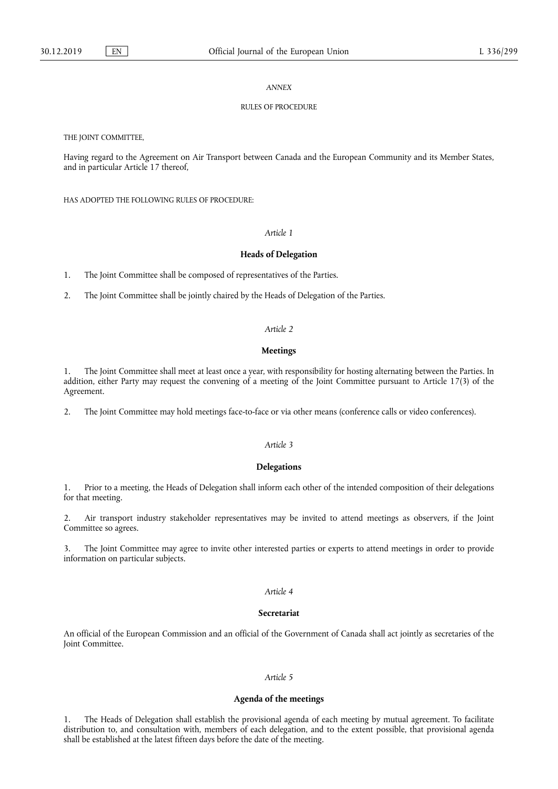### *ANNEX*

## RULES OF PROCEDURE

THE JOINT COMMITTEE,

Having regard to the Agreement on Air Transport between Canada and the European Community and its Member States, and in particular Article 17 thereof,

HAS ADOPTED THE FOLLOWING RULES OF PROCEDURE:

# *Article 1*

### **Heads of Delegation**

1. The Joint Committee shall be composed of representatives of the Parties.

2. The Joint Committee shall be jointly chaired by the Heads of Delegation of the Parties.

### *Article 2*

### **Meetings**

1. The Joint Committee shall meet at least once a year, with responsibility for hosting alternating between the Parties. In addition, either Party may request the convening of a meeting of the Joint Committee pursuant to Article 17(3) of the Agreement.

2. The Joint Committee may hold meetings face-to-face or via other means (conference calls or video conferences).

# *Article 3*

## **Delegations**

1. Prior to a meeting, the Heads of Delegation shall inform each other of the intended composition of their delegations for that meeting.

2. Air transport industry stakeholder representatives may be invited to attend meetings as observers, if the Joint Committee so agrees.

3. The Joint Committee may agree to invite other interested parties or experts to attend meetings in order to provide information on particular subjects.

#### *Article 4*

# **Secretariat**

An official of the European Commission and an official of the Government of Canada shall act jointly as secretaries of the Joint Committee.

## *Article 5*

#### **Agenda of the meetings**

1. The Heads of Delegation shall establish the provisional agenda of each meeting by mutual agreement. To facilitate distribution to, and consultation with, members of each delegation, and to the extent possible, that provisional agenda shall be established at the latest fifteen days before the date of the meeting.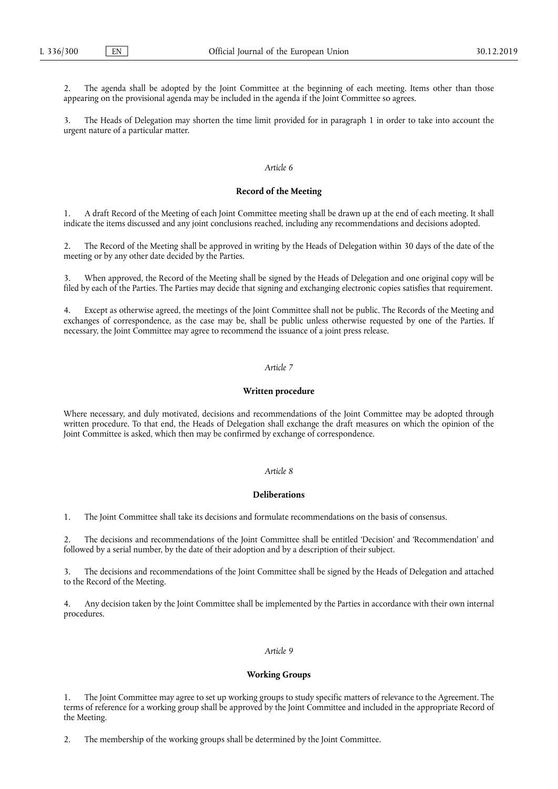The agenda shall be adopted by the Joint Committee at the beginning of each meeting. Items other than those appearing on the provisional agenda may be included in the agenda if the Joint Committee so agrees.

The Heads of Delegation may shorten the time limit provided for in paragraph 1 in order to take into account the urgent nature of a particular matter.

## *Article 6*

### **Record of the Meeting**

1. A draft Record of the Meeting of each Joint Committee meeting shall be drawn up at the end of each meeting. It shall indicate the items discussed and any joint conclusions reached, including any recommendations and decisions adopted.

2. The Record of the Meeting shall be approved in writing by the Heads of Delegation within 30 days of the date of the meeting or by any other date decided by the Parties.

When approved, the Record of the Meeting shall be signed by the Heads of Delegation and one original copy will be filed by each of the Parties. The Parties may decide that signing and exchanging electronic copies satisfies that requirement.

4. Except as otherwise agreed, the meetings of the Joint Committee shall not be public. The Records of the Meeting and exchanges of correspondence, as the case may be, shall be public unless otherwise requested by one of the Parties. If necessary, the Joint Committee may agree to recommend the issuance of a joint press release.

#### *Article 7*

#### **Written procedure**

Where necessary, and duly motivated, decisions and recommendations of the Joint Committee may be adopted through written procedure. To that end, the Heads of Delegation shall exchange the draft measures on which the opinion of the Joint Committee is asked, which then may be confirmed by exchange of correspondence.

# *Article 8*

### **Deliberations**

1. The Joint Committee shall take its decisions and formulate recommendations on the basis of consensus.

2. The decisions and recommendations of the Joint Committee shall be entitled 'Decision' and 'Recommendation' and followed by a serial number, by the date of their adoption and by a description of their subject.

The decisions and recommendations of the Joint Committee shall be signed by the Heads of Delegation and attached to the Record of the Meeting.

4. Any decision taken by the Joint Committee shall be implemented by the Parties in accordance with their own internal procedures.

## *Article 9*

#### **Working Groups**

The Joint Committee may agree to set up working groups to study specific matters of relevance to the Agreement. The terms of reference for a working group shall be approved by the Joint Committee and included in the appropriate Record of the Meeting.

2. The membership of the working groups shall be determined by the Joint Committee.